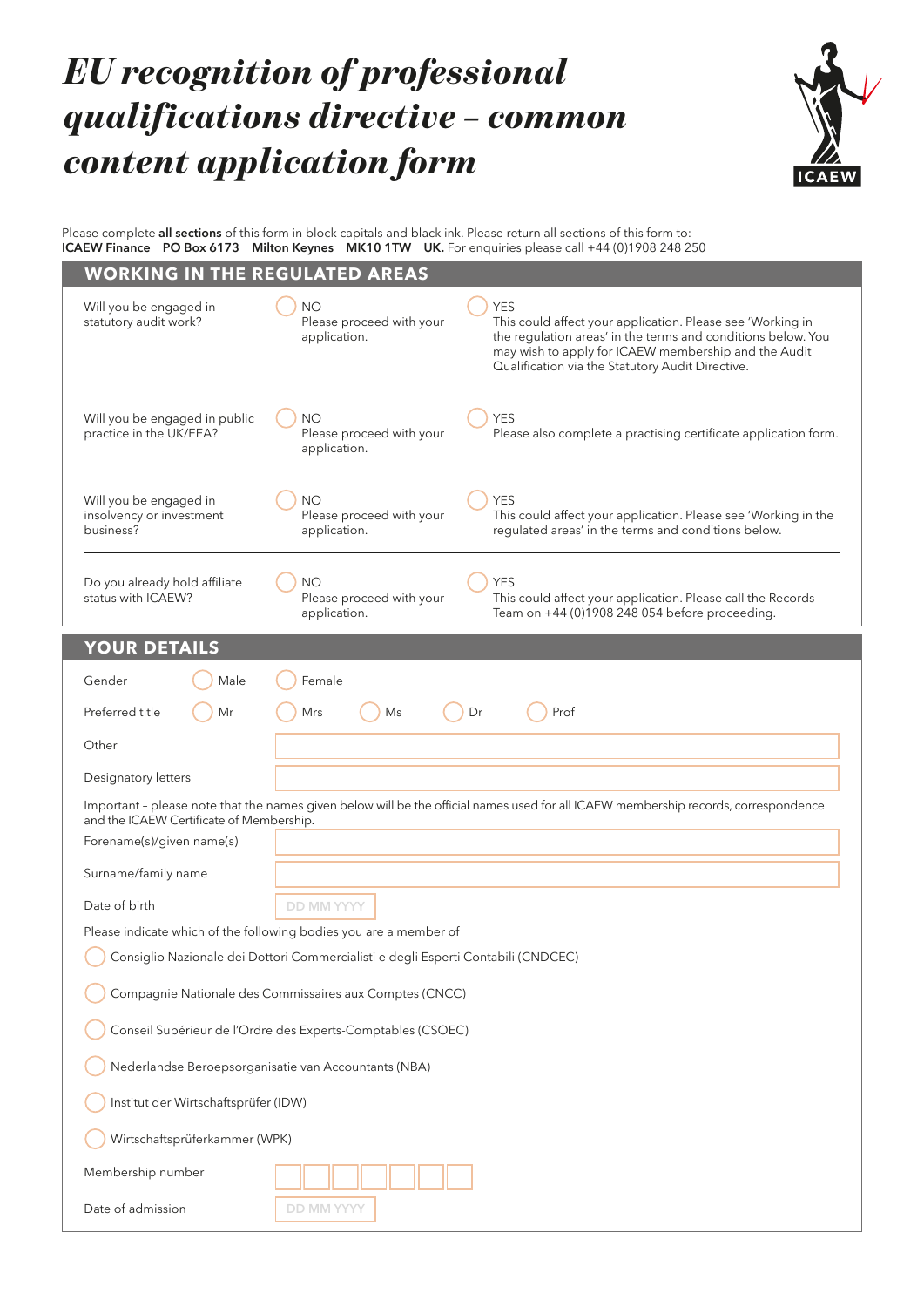# *EU recognition of professional qualifications directive – common content application form*



Please complete **all sections** of this form in block capitals and black ink. Please return all sections of this form to: **ICAEW Finance PO Box 6173 Milton Keynes MK10 1TW UK.** For enquiries please call +44 (0)1908 248 250

| <b>WORKING IN THE REGULATED AREAS</b>                           |                                                                                                                                                                                                                                                                                                               |
|-----------------------------------------------------------------|---------------------------------------------------------------------------------------------------------------------------------------------------------------------------------------------------------------------------------------------------------------------------------------------------------------|
| Will you be engaged in<br>statutory audit work?                 | <b>YES</b><br><b>NO</b><br>Please proceed with your<br>This could affect your application. Please see 'Working in<br>the regulation areas' in the terms and conditions below. You<br>application.<br>may wish to apply for ICAEW membership and the Audit<br>Qualification via the Statutory Audit Directive. |
| Will you be engaged in public<br>practice in the UK/EEA?        | <b>NO</b><br><b>YES</b><br>Please proceed with your<br>Please also complete a practising certificate application form.<br>application.                                                                                                                                                                        |
| Will you be engaged in<br>insolvency or investment<br>business? | <b>NO</b><br><b>YES</b><br>Please proceed with your<br>This could affect your application. Please see 'Working in the<br>regulated areas' in the terms and conditions below.<br>application.                                                                                                                  |
| Do you already hold affiliate<br>status with ICAEW?             | <b>NO</b><br><b>YES</b><br>Please proceed with your<br>This could affect your application. Please call the Records<br>Team on +44 (0)1908 248 054 before proceeding.<br>application.                                                                                                                          |
| <b>YOUR DETAILS</b>                                             |                                                                                                                                                                                                                                                                                                               |
| Gender<br>Male                                                  | Female                                                                                                                                                                                                                                                                                                        |
| Preferred title<br>Mr                                           | Dr<br>Prof<br>Mrs<br>Ms                                                                                                                                                                                                                                                                                       |
| Other                                                           |                                                                                                                                                                                                                                                                                                               |
| Designatory letters                                             |                                                                                                                                                                                                                                                                                                               |
| and the ICAEW Certificate of Membership.                        | Important - please note that the names given below will be the official names used for all ICAEW membership records, correspondence                                                                                                                                                                           |
| Forename(s)/given name(s)                                       |                                                                                                                                                                                                                                                                                                               |
| Surname/family name                                             |                                                                                                                                                                                                                                                                                                               |
| Date of birth                                                   | <b>DD MM YYYY</b>                                                                                                                                                                                                                                                                                             |
|                                                                 | Please indicate which of the following bodies you are a member of                                                                                                                                                                                                                                             |
|                                                                 | Consiglio Nazionale dei Dottori Commercialisti e degli Esperti Contabili (CNDCEC)                                                                                                                                                                                                                             |
|                                                                 | Compagnie Nationale des Commissaires aux Comptes (CNCC)                                                                                                                                                                                                                                                       |
|                                                                 | Conseil Supérieur de l'Ordre des Experts-Comptables (CSOEC)                                                                                                                                                                                                                                                   |
|                                                                 | Nederlandse Beroepsorganisatie van Accountants (NBA)                                                                                                                                                                                                                                                          |
| Institut der Wirtschaftsprüfer (IDW)                            |                                                                                                                                                                                                                                                                                                               |
| Wirtschaftsprüferkammer (WPK)                                   |                                                                                                                                                                                                                                                                                                               |
| Membership number                                               |                                                                                                                                                                                                                                                                                                               |
| Date of admission                                               | <b>DD MM YYYY</b>                                                                                                                                                                                                                                                                                             |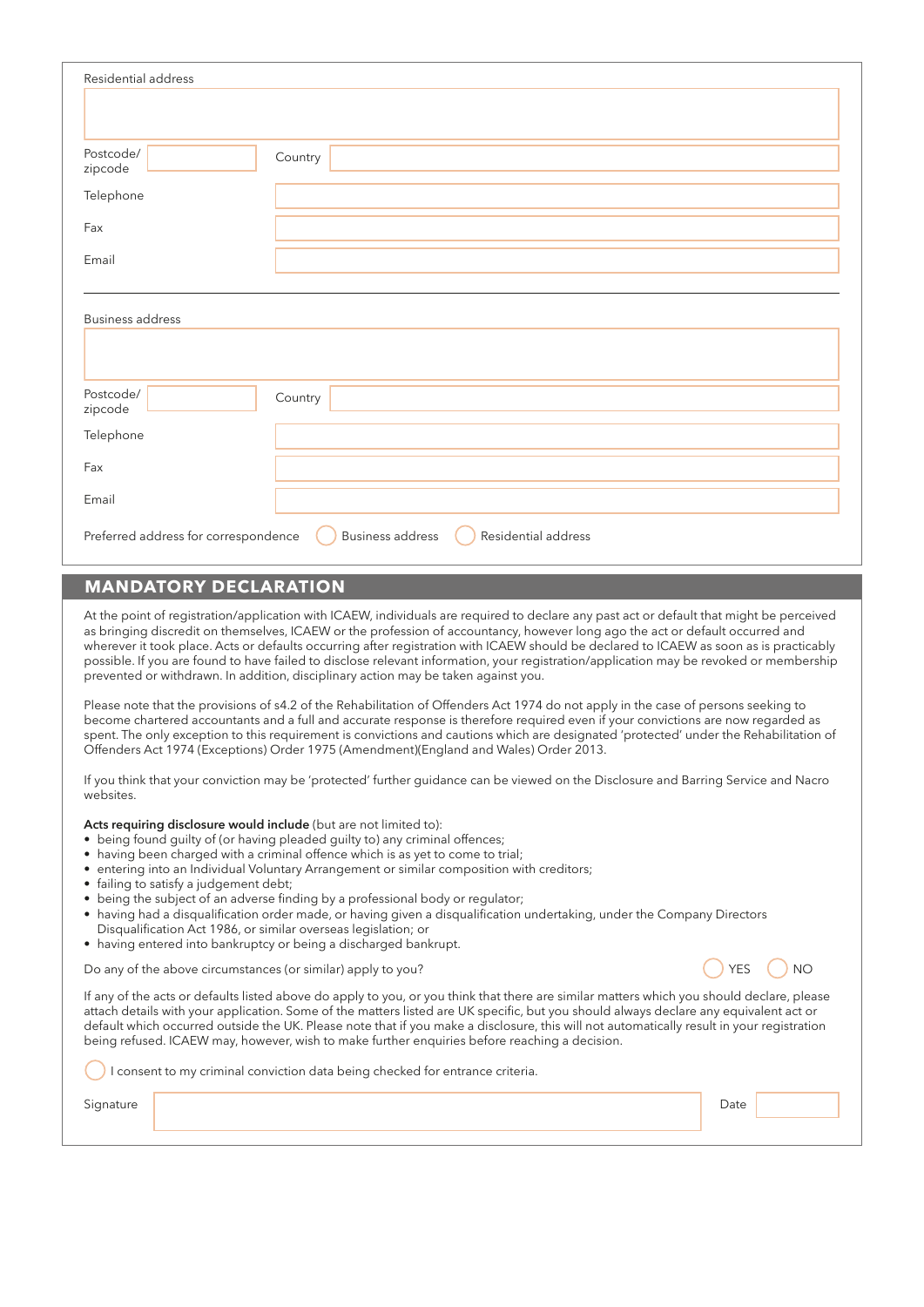| Residential address                                                             |         |  |  |  |
|---------------------------------------------------------------------------------|---------|--|--|--|
|                                                                                 |         |  |  |  |
|                                                                                 |         |  |  |  |
| Postcode/<br>zipcode                                                            | Country |  |  |  |
| Telephone                                                                       |         |  |  |  |
| Fax                                                                             |         |  |  |  |
| Email                                                                           |         |  |  |  |
|                                                                                 |         |  |  |  |
| <b>Business address</b>                                                         |         |  |  |  |
|                                                                                 |         |  |  |  |
|                                                                                 |         |  |  |  |
| Postcode/<br>zipcode                                                            | Country |  |  |  |
| Telephone                                                                       |         |  |  |  |
| Fax                                                                             |         |  |  |  |
| Email                                                                           |         |  |  |  |
| Business address<br>Residential address<br>Preferred address for correspondence |         |  |  |  |

## **MANDATORY DECLARATION**

At the point of registration/application with ICAEW, individuals are required to declare any past act or default that might be perceived as bringing discredit on themselves, ICAEW or the profession of accountancy, however long ago the act or default occurred and wherever it took place. Acts or defaults occurring after registration with ICAEW should be declared to ICAEW as soon as is practicably possible. If you are found to have failed to disclose relevant information, your registration/application may be revoked or membership prevented or withdrawn. In addition, disciplinary action may be taken against you.

Please note that the provisions of s4.2 of the Rehabilitation of Offenders Act 1974 do not apply in the case of persons seeking to become chartered accountants and a full and accurate response is therefore required even if your convictions are now regarded as spent. The only exception to this requirement is convictions and cautions which are designated 'protected' under the Rehabilitation of Offenders Act 1974 (Exceptions) Order 1975 (Amendment)(England and Wales) Order 2013.

If you think that your conviction may be 'protected' further guidance can be viewed on the Disclosure and Barring Service and Nacro websites.

Acts requiring disclosure would include (but are not limited to):

- being found guilty of (or having pleaded guilty to) any criminal offences;
- having been charged with a criminal offence which is as yet to come to trial;
- entering into an Individual Voluntary Arrangement or similar composition with creditors;
- failing to satisfy a judgement debt;
- being the subject of an adverse finding by a professional body or regulator;
- having had a disqualification order made, or having given a disqualification undertaking, under the Company Directors
- Disqualification Act 1986, or similar overseas legislation; or
- having entered into bankruptcy or being a discharged bankrupt.

Do any of the above circumstances (or similar) apply to you?  $\bigcirc$  yes  $\bigcirc$  YES  $\bigcirc$  NO



If any of the acts or defaults listed above do apply to you, or you think that there are similar matters which you should declare, please attach details with your application. Some of the matters listed are UK specific, but you should always declare any equivalent act or default which occurred outside the UK. Please note that if you make a disclosure, this will not automatically result in your registration being refused. ICAEW may, however, wish to make further enquiries before reaching a decision.

I consent to my criminal conviction data being checked for entrance criteria.

Signature **Date of the State of the State of the State of the State of the State of the Date of the Date of the D**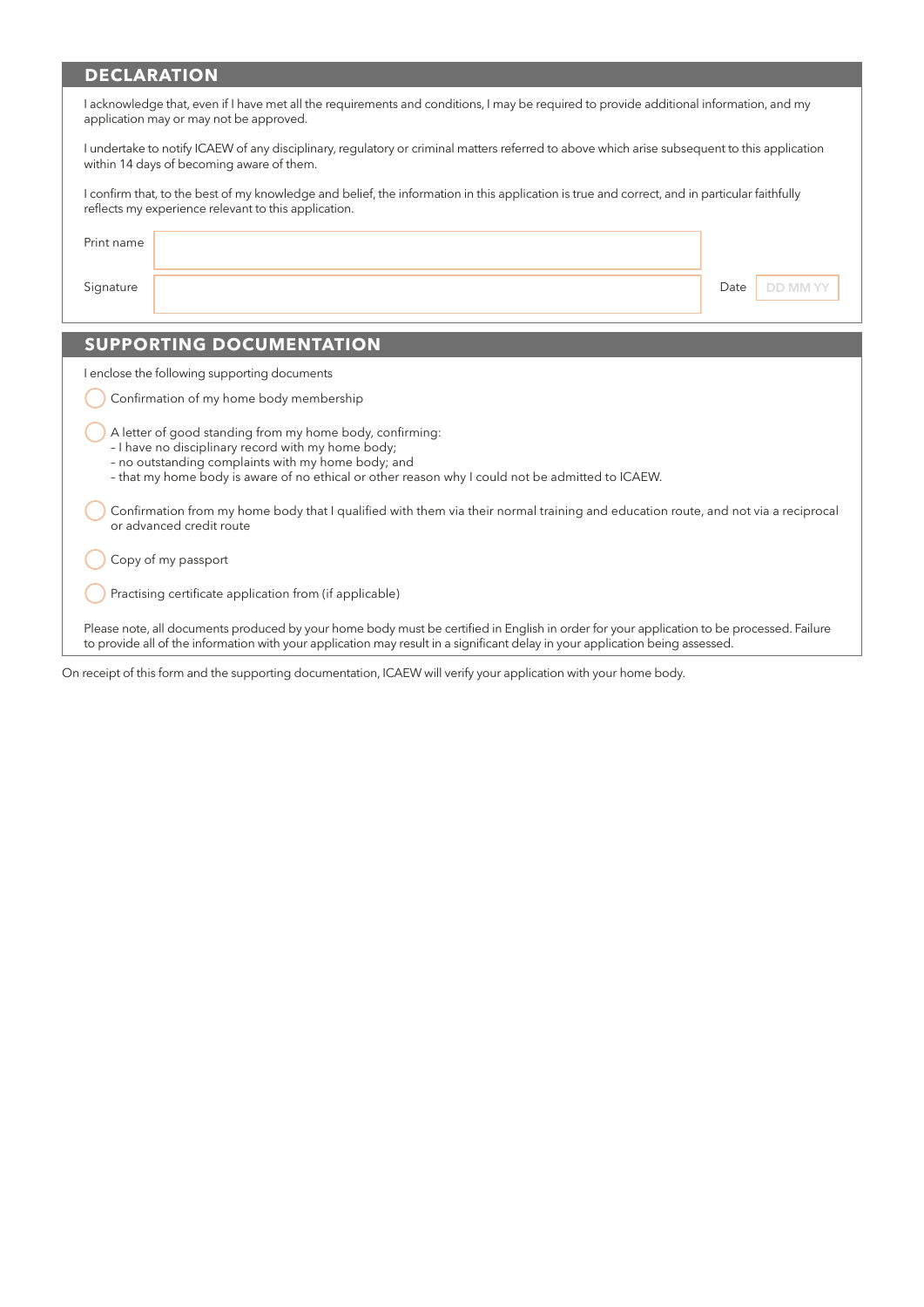## **DECLARATION**

| I acknowledge that, even if I have met all the requirements and conditions, I may be required to provide additional information, and my<br>application may or may not be approved.                                                                                         |                         |  |  |  |  |
|----------------------------------------------------------------------------------------------------------------------------------------------------------------------------------------------------------------------------------------------------------------------------|-------------------------|--|--|--|--|
| I undertake to notify ICAEW of any disciplinary, regulatory or criminal matters referred to above which arise subsequent to this application<br>within 14 days of becoming aware of them.                                                                                  |                         |  |  |  |  |
| I confirm that, to the best of my knowledge and belief, the information in this application is true and correct, and in particular faithfully<br>reflects my experience relevant to this application.                                                                      |                         |  |  |  |  |
| Print name                                                                                                                                                                                                                                                                 |                         |  |  |  |  |
| Signature                                                                                                                                                                                                                                                                  | Date<br><b>DD MM YY</b> |  |  |  |  |
|                                                                                                                                                                                                                                                                            |                         |  |  |  |  |
| <b>SUPPORTING DOCUMENTATION</b>                                                                                                                                                                                                                                            |                         |  |  |  |  |
| I enclose the following supporting documents                                                                                                                                                                                                                               |                         |  |  |  |  |
| Confirmation of my home body membership                                                                                                                                                                                                                                    |                         |  |  |  |  |
| A letter of good standing from my home body, confirming:<br>- I have no disciplinary record with my home body;<br>- no outstanding complaints with my home body; and<br>- that my home body is aware of no ethical or other reason why I could not be admitted to ICAEW.   |                         |  |  |  |  |
| Confirmation from my home body that I qualified with them via their normal training and education route, and not via a reciprocal<br>or advanced credit route                                                                                                              |                         |  |  |  |  |
| Copy of my passport                                                                                                                                                                                                                                                        |                         |  |  |  |  |
| Practising certificate application from (if applicable)                                                                                                                                                                                                                    |                         |  |  |  |  |
| Please note, all documents produced by your home body must be certified in English in order for your application to be processed. Failure<br>to provide all of the information with your application may result in a significant delay in your application being assessed. |                         |  |  |  |  |

On receipt of this form and the supporting documentation, ICAEW will verify your application with your home body.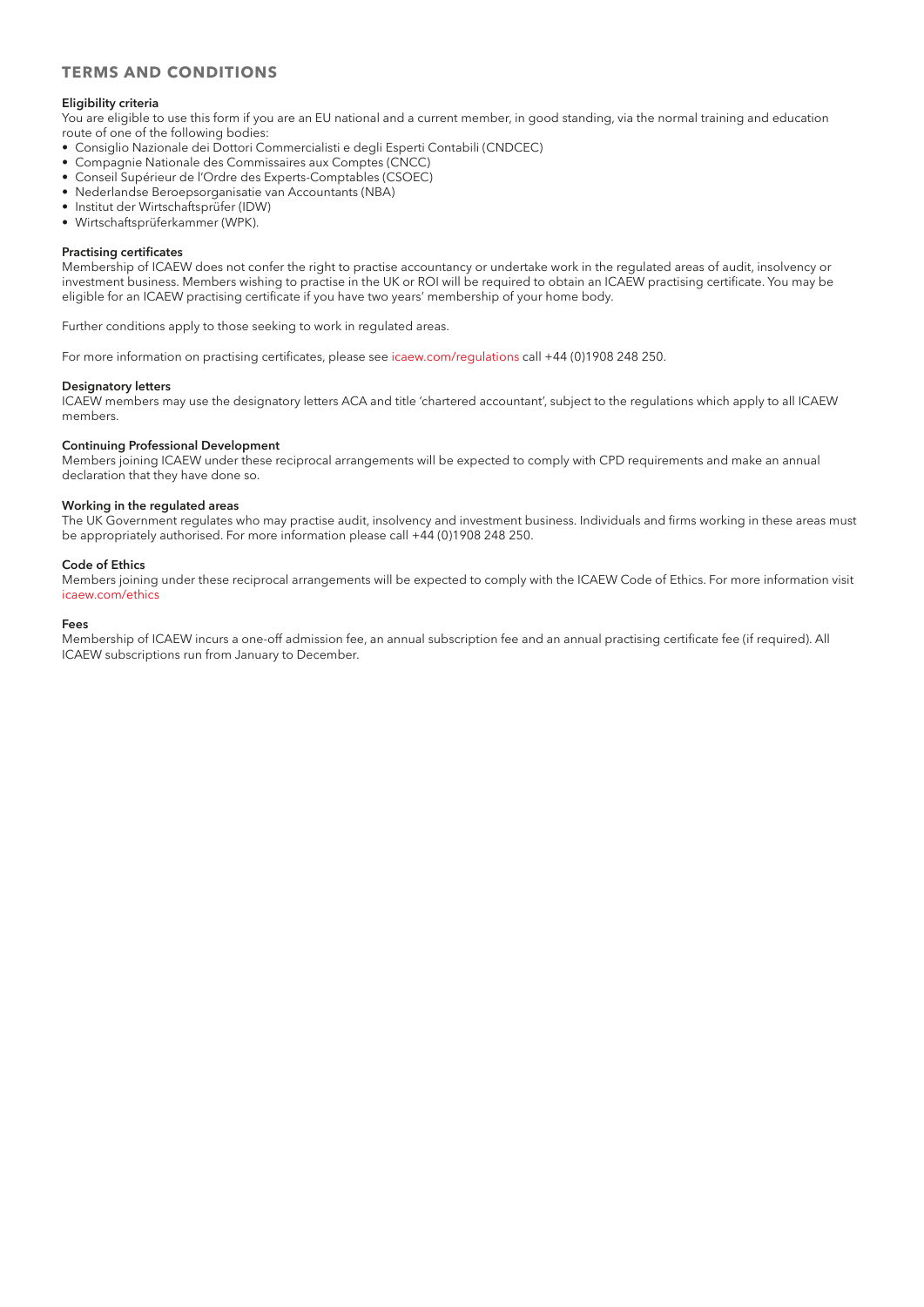## **TERMS AND CONDITIONS**

#### **Eligibility criteria**

You are eligible to use this form if you are an EU national and a current member, in good standing, via the normal training and education route of one of the following bodies:

- Consiglio Nazionale dei Dottori Commercialisti e degli Esperti Contabili (CNDCEC)
- Compagnie Nationale des Commissaires aux Comptes (CNCC)
- Conseil Supérieur de l'Ordre des Experts-Comptables (CSOEC)
- Nederlandse Beroepsorganisatie van Accountants (NBA)
- Institut der Wirtschaftsprüfer (IDW)
- Wirtschaftsprüferkammer (WPK).

#### **Practising certificates**

Membership of ICAEW does not confer the right to practise accountancy or undertake work in the regulated areas of audit, insolvency or investment business. Members wishing to practise in the UK or ROI will be required to obtain an ICAEW practising certificate. You may be eligible for an ICAEW practising certificate if you have two years' membership of your home body.

Further conditions apply to those seeking to work in regulated areas.

For more information on practising certificates, please see [icaew.com/regulations](http://www.icaew.com/regulations) call +44 (0)1908 248 250.

#### **Designatory letters**

ICAEW members may use the designatory letters ACA and title 'chartered accountant', subject to the regulations which apply to all ICAEW members.

#### **Continuing Professional Development**

Members joining ICAEW under these reciprocal arrangements will be expected to comply with CPD requirements and make an annual declaration that they have done so.

### **Working in the regulated areas**

The UK Government regulates who may practise audit, insolvency and investment business. Individuals and firms working in these areas must be appropriately authorised. For more information please call +44 (0)1908 248 250.

#### **Code of Ethics**

Members joining under these reciprocal arrangements will be expected to comply with the ICAEW Code of Ethics. For more information visit [icaew.com/ethics](http://www.icaew.com/ethics)

#### **Fees**

Membership of ICAEW incurs a one-off admission fee, an annual subscription fee and an annual practising certificate fee (if required). All ICAEW subscriptions run from January to December.